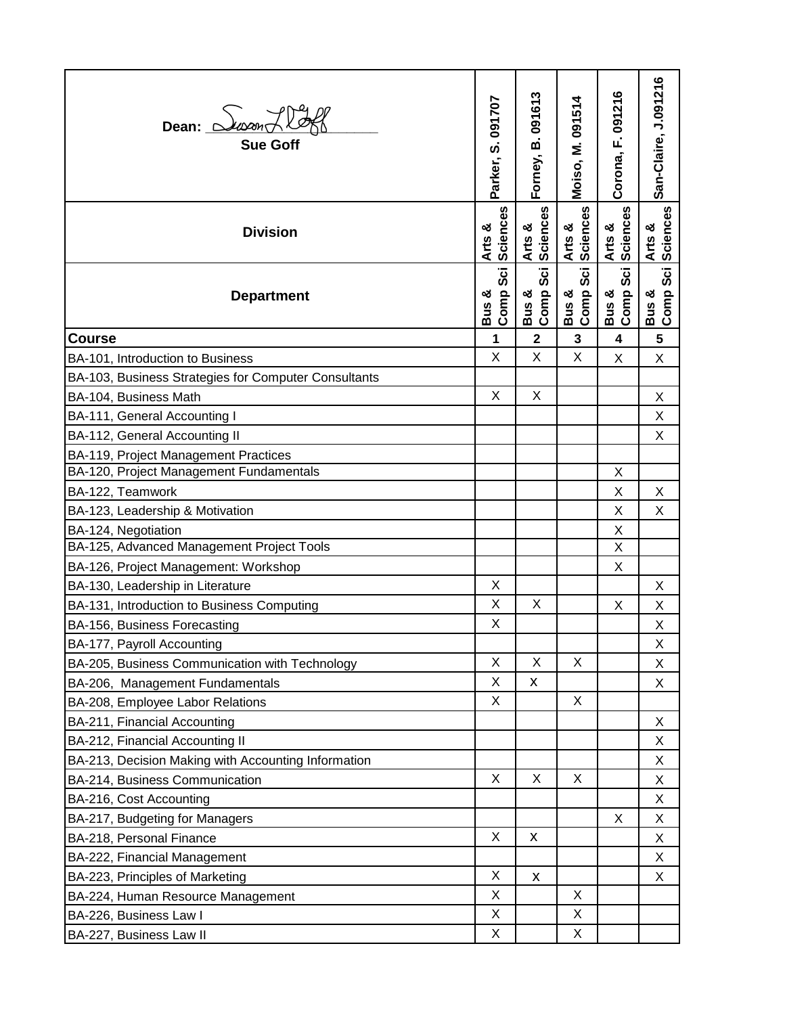| Dean: $\triangle$ $\bowtie$<br><b>Sue Goff</b>       | Parker, S. 091707                     | Forney, B. 091613            | Moiso, M. 091514          | F. 091216<br>Corona,         | San-Claire, J.091216    |
|------------------------------------------------------|---------------------------------------|------------------------------|---------------------------|------------------------------|-------------------------|
| <b>Division</b>                                      | Sciences<br>Arts &                    | Sciences<br>Arts &           | <b>Sciences</b><br>Arts & | <b>Sciences</b><br>Arts &    | Sciences<br>Arts &      |
| <b>Department</b>                                    | <b>Sci</b><br>Comp<br>ఱ<br><b>Bus</b> | <b>Sci</b><br>Bus &<br>Comp: | Sci<br>Bus &<br>Comp:     | <b>Sci</b><br>Bus &<br>Comp: | Bus &<br>Comp Sci       |
| <b>Course</b>                                        | 1                                     | $\overline{\mathbf{2}}$      | 3                         | 4                            | $\overline{\mathbf{5}}$ |
| BA-101, Introduction to Business                     | X                                     | X                            | X                         | Χ                            | X                       |
| BA-103, Business Strategies for Computer Consultants |                                       |                              |                           |                              |                         |
| BA-104, Business Math                                | X                                     | X                            |                           |                              | X                       |
| BA-111, General Accounting I                         |                                       |                              |                           |                              | Х                       |
| BA-112, General Accounting II                        |                                       |                              |                           |                              | Χ                       |
| BA-119, Project Management Practices                 |                                       |                              |                           |                              |                         |
| BA-120, Project Management Fundamentals              |                                       |                              |                           | Χ                            |                         |
| BA-122, Teamwork                                     |                                       |                              |                           | Χ                            | X                       |
| BA-123, Leadership & Motivation                      |                                       |                              |                           | Χ                            | X                       |
| BA-124, Negotiation                                  |                                       |                              |                           | Χ                            |                         |
| BA-125, Advanced Management Project Tools            |                                       |                              |                           | Χ                            |                         |
| BA-126, Project Management: Workshop                 |                                       |                              |                           | Χ                            |                         |
| BA-130, Leadership in Literature                     | X                                     |                              |                           |                              | Х                       |
| BA-131, Introduction to Business Computing           | X                                     | X                            |                           | Χ                            | X                       |
| BA-156, Business Forecasting                         | X                                     |                              |                           |                              | X                       |
| BA-177, Payroll Accounting                           |                                       |                              |                           |                              | X                       |
| BA-205, Business Communication with Technology       | X                                     | X                            | X                         |                              | X                       |
| BA-206, Management Fundamentals                      | X                                     | X                            |                           |                              | Χ                       |
| BA-208, Employee Labor Relations                     | X                                     |                              | X                         |                              |                         |
| BA-211, Financial Accounting                         |                                       |                              |                           |                              | X                       |
| BA-212, Financial Accounting II                      |                                       |                              |                           |                              | X                       |
| BA-213, Decision Making with Accounting Information  |                                       |                              |                           |                              | Χ                       |
| BA-214, Business Communication                       | X                                     | X                            | X                         |                              | Χ                       |
| BA-216, Cost Accounting                              |                                       |                              |                           |                              | X                       |
| BA-217, Budgeting for Managers                       | X                                     | $\pmb{\mathsf{X}}$           |                           | X                            | Χ                       |
| BA-218, Personal Finance                             |                                       |                              |                           |                              | X                       |
| BA-222, Financial Management                         | X                                     |                              |                           |                              | Χ                       |
| BA-223, Principles of Marketing                      | X                                     | X                            | X                         |                              | X                       |
| BA-224, Human Resource Management                    | X                                     |                              | Χ                         |                              |                         |
| BA-226, Business Law I                               | X                                     |                              | X                         |                              |                         |
| BA-227, Business Law II                              |                                       |                              |                           |                              |                         |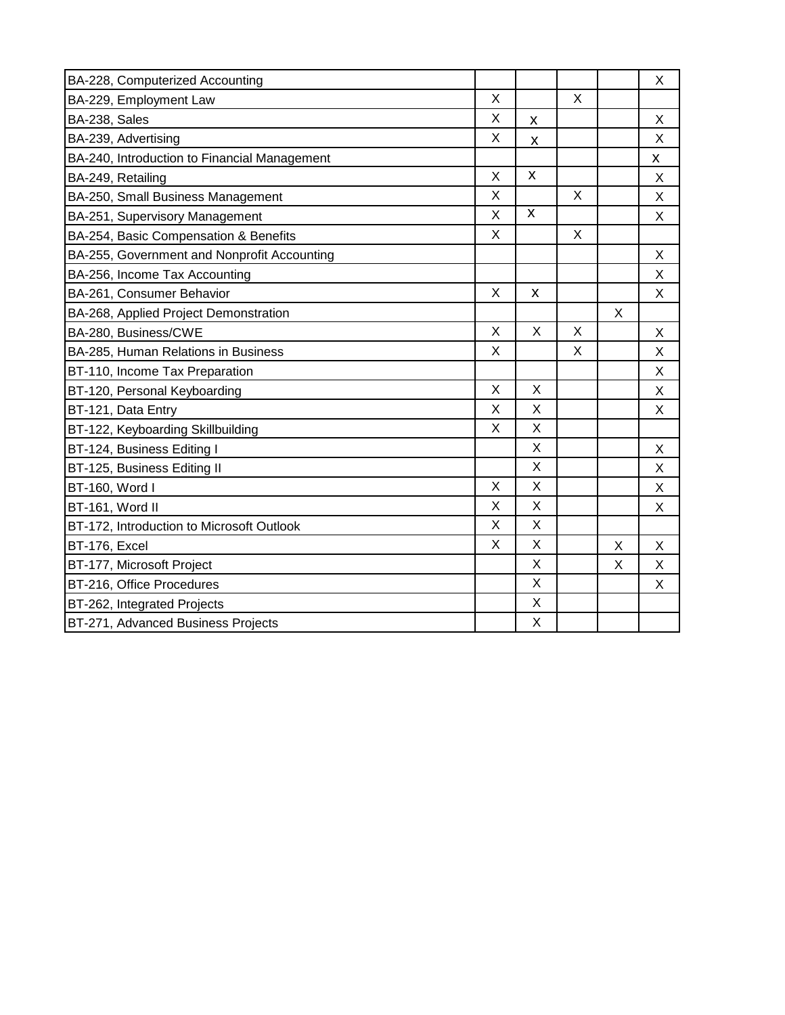| BA-228, Computerized Accounting              |         |                    |   |   | X |
|----------------------------------------------|---------|--------------------|---|---|---|
| BA-229, Employment Law                       | X       |                    | X |   |   |
| BA-238, Sales                                | X       | X                  |   |   | X |
| BA-239, Advertising                          | X       | X                  |   |   | X |
| BA-240, Introduction to Financial Management |         |                    |   |   | X |
| BA-249, Retailing                            | X       | X                  |   |   | X |
| BA-250, Small Business Management            | X       |                    | X |   | X |
| BA-251, Supervisory Management               | X       | $\pmb{\mathsf{X}}$ |   |   | X |
| BA-254, Basic Compensation & Benefits        | X       |                    | X |   |   |
| BA-255, Government and Nonprofit Accounting  |         |                    |   |   | X |
| BA-256, Income Tax Accounting                |         |                    |   |   | X |
| BA-261, Consumer Behavior                    | $\sf X$ | X                  |   |   | X |
| BA-268, Applied Project Demonstration        |         |                    |   | X |   |
| BA-280, Business/CWE                         | $\sf X$ | X                  | X |   | X |
| BA-285, Human Relations in Business          | X       |                    | X |   | X |
| BT-110, Income Tax Preparation               |         |                    |   |   | X |
| BT-120, Personal Keyboarding                 | X       | X                  |   |   | X |
| BT-121, Data Entry                           | X       | X                  |   |   | X |
| BT-122, Keyboarding Skillbuilding            | X       | X                  |   |   |   |
| BT-124, Business Editing I                   |         | X                  |   |   | X |
| BT-125, Business Editing II                  |         | X                  |   |   | X |
| BT-160, Word I                               | X       | X                  |   |   | X |
| BT-161, Word II                              | X       | X                  |   |   | X |
| BT-172, Introduction to Microsoft Outlook    | X       | X                  |   |   |   |
| BT-176, Excel                                | X       | X                  |   | X | X |
| BT-177, Microsoft Project                    |         | X                  |   | X | X |
| BT-216, Office Procedures                    |         | X                  |   |   | X |
| BT-262, Integrated Projects                  |         | X                  |   |   |   |
| BT-271, Advanced Business Projects           |         | X                  |   |   |   |
|                                              |         |                    |   |   |   |